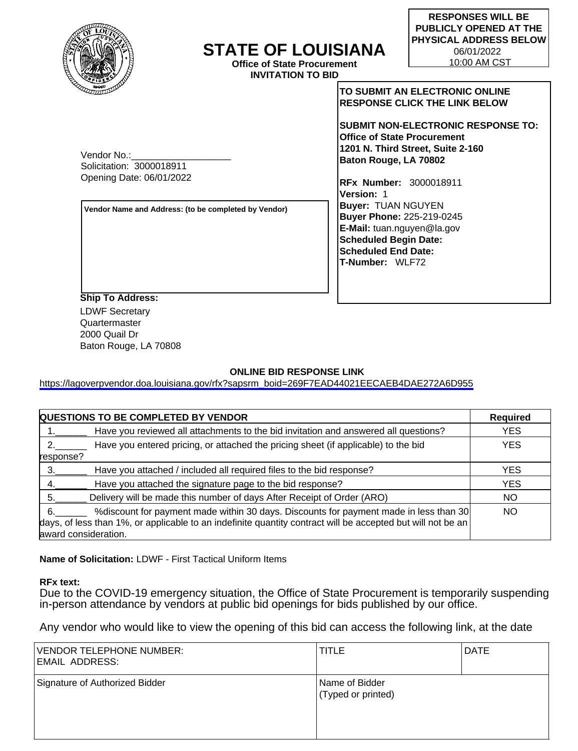

# **STATE OF LOUISIANA**

**Office of State Procurement INVITATION TO BID**

**TO SUBMIT AN ELECTRONIC ONLINE RESPONSE CLICK THE LINK BELOW** 

**SUBMIT NON-ELECTRONIC RESPONSE TO: Office of State Procurement 1201 N. Third Street, Suite 2-160 Baton Rouge, LA 70802**

**RFx Number:** 3000018911 **Version:** 1 **Buyer:** TUAN NGUYEN **Buyer Phone:** 225-219-0245 **E-Mail:** tuan.nguyen@la.gov **Scheduled Begin Date: Scheduled End Date: T-Number:** WLF72

Vendor No.: Solicitation: 3000018911 Opening Date: 06/01/2022

**Vendor Name and Address: (to be completed by Vendor)**

**Ship To Address:** LDWF Secretary Quartermaster 2000 Quail Dr Baton Rouge, LA 70808

# **ONLINE BID RESPONSE LINK**

[https://lagoverpvendor.doa.louisiana.gov/rfx?sapsrm\\_boid=269F7EAD44021EECAEB4DAE272A6D955](https://lagoverpvendor.doa.louisiana.gov/rfx?sapsrm_boid=269F7EAD44021EECAEB4DAE272A6D955)

| <b>QUESTIONS TO BE COMPLETED BY VENDOR</b>                                                                  | <b>Required</b> |
|-------------------------------------------------------------------------------------------------------------|-----------------|
| Have you reviewed all attachments to the bid invitation and answered all questions?                         | <b>YES</b>      |
| Have you entered pricing, or attached the pricing sheet (if applicable) to the bid                          | <b>YES</b>      |
| response?                                                                                                   |                 |
| Have you attached / included all required files to the bid response?                                        | <b>YES</b>      |
| Have you attached the signature page to the bid response?                                                   | <b>YES</b>      |
| Delivery will be made this number of days After Receipt of Order (ARO)                                      | <b>NO</b>       |
| % of iscount for payment made within 30 days. Discounts for payment made in less than 30<br>6.              | <b>NO</b>       |
| days, of less than 1%, or applicable to an indefinite quantity contract will be accepted but will not be an |                 |
| award consideration.                                                                                        |                 |

**Name of Solicitation:** LDWF - First Tactical Uniform Items

# **RFx text:**

Due to the COVID-19 emergency situation, the Office of State Procurement is temporarily suspending in-person attendance by vendors at public bid openings for bids published by our office.

Any vendor who would like to view the opening of this bid can access the following link, at the date

| <b>VENDOR TELEPHONE NUMBER:</b><br><b>EMAIL ADDRESS:</b> | <b>TITLE</b>                         | <b>DATE</b> |
|----------------------------------------------------------|--------------------------------------|-------------|
| Signature of Authorized Bidder                           | Name of Bidder<br>(Typed or printed) |             |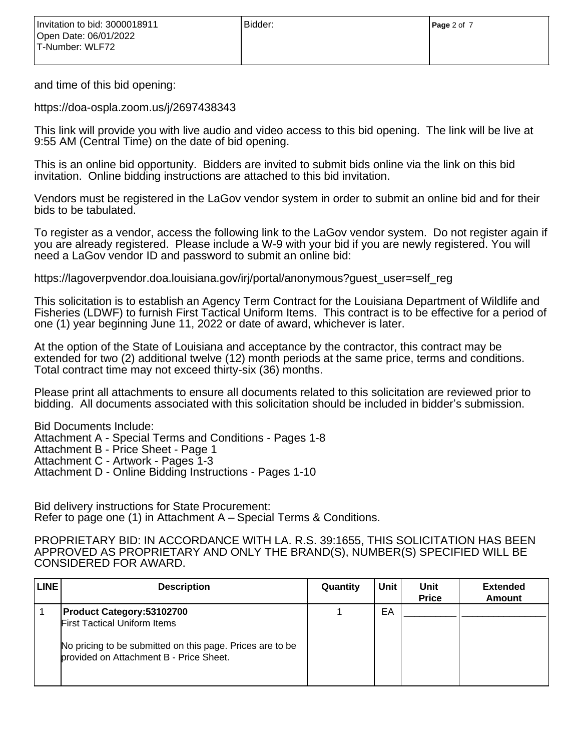and time of this bid opening:

https://doa-ospla.zoom.us/j/2697438343

This link will provide you with live audio and video access to this bid opening. The link will be live at 9:55 AM (Central Time) on the date of bid opening.

This is an online bid opportunity. Bidders are invited to submit bids online via the link on this bid invitation. Online bidding instructions are attached to this bid invitation.

Vendors must be registered in the LaGov vendor system in order to submit an online bid and for their bids to be tabulated.

To register as a vendor, access the following link to the LaGov vendor system. Do not register again if you are already registered. Please include a W-9 with your bid if you are newly registered. You will need a LaGov vendor ID and password to submit an online bid:

https://lagoverpvendor.doa.louisiana.gov/irj/portal/anonymous?guest\_user=self\_reg

This solicitation is to establish an Agency Term Contract for the Louisiana Department of Wildlife and Fisheries (LDWF) to furnish First Tactical Uniform Items. This contract is to be effective for a period of one (1) year beginning June 11, 2022 or date of award, whichever is later.

At the option of the State of Louisiana and acceptance by the contractor, this contract may be extended for two (2) additional twelve (12) month periods at the same price, terms and conditions. Total contract time may not exceed thirty-six (36) months.

Please print all attachments to ensure all documents related to this solicitation are reviewed prior to bidding. All documents associated with this solicitation should be included in bidder's submission.

Bid Documents Include: Attachment A - Special Terms and Conditions - Pages 1-8 Attachment B - Price Sheet - Page 1 Attachment C - Artwork - Pages 1-3 Attachment D - Online Bidding Instructions - Pages 1-10

Bid delivery instructions for State Procurement: Refer to page one (1) in Attachment A – Special Terms & Conditions.

PROPRIETARY BID: IN ACCORDANCE WITH LA. R.S. 39:1655, THIS SOLICITATION HAS BEEN APPROVED AS PROPRIETARY AND ONLY THE BRAND(S), NUMBER(S) SPECIFIED WILL BE CONSIDERED FOR AWARD.

| <b>LINE</b> | <b>Description</b>                                                                                                                                                              | Quantity | Unit | Unit<br><b>Price</b> | <b>Extended</b><br><b>Amount</b> |
|-------------|---------------------------------------------------------------------------------------------------------------------------------------------------------------------------------|----------|------|----------------------|----------------------------------|
|             | <b>Product Category:53102700</b><br><b>First Tactical Uniform Items</b><br>No pricing to be submitted on this page. Prices are to be<br>provided on Attachment B - Price Sheet. |          | EA   |                      |                                  |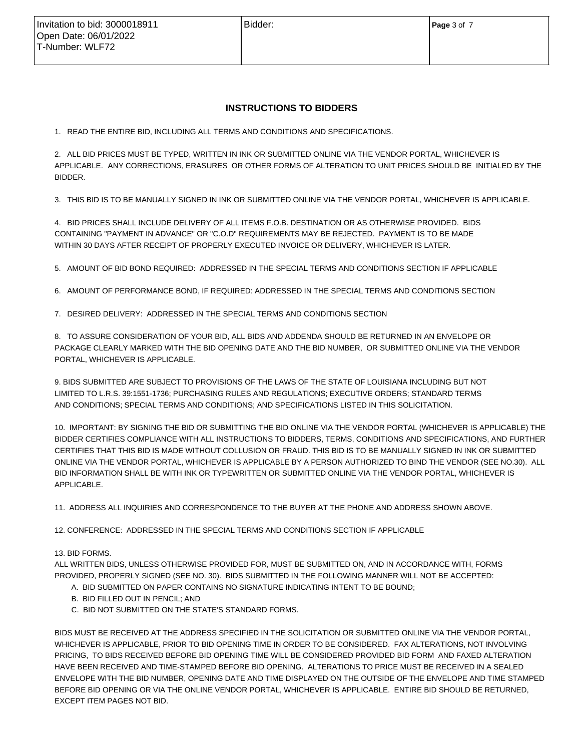# **INSTRUCTIONS TO BIDDERS**

1. READ THE ENTIRE BID, INCLUDING ALL TERMS AND CONDITIONS AND SPECIFICATIONS.

2. ALL BID PRICES MUST BE TYPED, WRITTEN IN INK OR SUBMITTED ONLINE VIA THE VENDOR PORTAL, WHICHEVER IS APPLICABLE. ANY CORRECTIONS, ERASURES OR OTHER FORMS OF ALTERATION TO UNIT PRICES SHOULD BE INITIALED BY THE BIDDER.

3. THIS BID IS TO BE MANUALLY SIGNED IN INK OR SUBMITTED ONLINE VIA THE VENDOR PORTAL, WHICHEVER IS APPLICABLE.

4. BID PRICES SHALL INCLUDE DELIVERY OF ALL ITEMS F.O.B. DESTINATION OR AS OTHERWISE PROVIDED. BIDS CONTAINING "PAYMENT IN ADVANCE" OR "C.O.D" REQUIREMENTS MAY BE REJECTED. PAYMENT IS TO BE MADE WITHIN 30 DAYS AFTER RECEIPT OF PROPERLY EXECUTED INVOICE OR DELIVERY, WHICHEVER IS LATER.

5. AMOUNT OF BID BOND REQUIRED: ADDRESSED IN THE SPECIAL TERMS AND CONDITIONS SECTION IF APPLICABLE

6. AMOUNT OF PERFORMANCE BOND, IF REQUIRED: ADDRESSED IN THE SPECIAL TERMS AND CONDITIONS SECTION

7. DESIRED DELIVERY: ADDRESSED IN THE SPECIAL TERMS AND CONDITIONS SECTION

8. TO ASSURE CONSIDERATION OF YOUR BID, ALL BIDS AND ADDENDA SHOULD BE RETURNED IN AN ENVELOPE OR PACKAGE CLEARLY MARKED WITH THE BID OPENING DATE AND THE BID NUMBER, OR SUBMITTED ONLINE VIA THE VENDOR PORTAL, WHICHEVER IS APPLICABLE.

9. BIDS SUBMITTED ARE SUBJECT TO PROVISIONS OF THE LAWS OF THE STATE OF LOUISIANA INCLUDING BUT NOT LIMITED TO L.R.S. 39:1551-1736; PURCHASING RULES AND REGULATIONS; EXECUTIVE ORDERS; STANDARD TERMS AND CONDITIONS; SPECIAL TERMS AND CONDITIONS; AND SPECIFICATIONS LISTED IN THIS SOLICITATION.

10. IMPORTANT: BY SIGNING THE BID OR SUBMITTING THE BID ONLINE VIA THE VENDOR PORTAL (WHICHEVER IS APPLICABLE) THE BIDDER CERTIFIES COMPLIANCE WITH ALL INSTRUCTIONS TO BIDDERS, TERMS, CONDITIONS AND SPECIFICATIONS, AND FURTHER CERTIFIES THAT THIS BID IS MADE WITHOUT COLLUSION OR FRAUD. THIS BID IS TO BE MANUALLY SIGNED IN INK OR SUBMITTED ONLINE VIA THE VENDOR PORTAL, WHICHEVER IS APPLICABLE BY A PERSON AUTHORIZED TO BIND THE VENDOR (SEE NO.30). ALL BID INFORMATION SHALL BE WITH INK OR TYPEWRITTEN OR SUBMITTED ONLINE VIA THE VENDOR PORTAL, WHICHEVER IS APPLICABLE.

11. ADDRESS ALL INQUIRIES AND CORRESPONDENCE TO THE BUYER AT THE PHONE AND ADDRESS SHOWN ABOVE.

12. CONFERENCE: ADDRESSED IN THE SPECIAL TERMS AND CONDITIONS SECTION IF APPLICABLE

#### 13. BID FORMS.

ALL WRITTEN BIDS, UNLESS OTHERWISE PROVIDED FOR, MUST BE SUBMITTED ON, AND IN ACCORDANCE WITH, FORMS PROVIDED, PROPERLY SIGNED (SEE NO. 30). BIDS SUBMITTED IN THE FOLLOWING MANNER WILL NOT BE ACCEPTED:

- A. BID SUBMITTED ON PAPER CONTAINS NO SIGNATURE INDICATING INTENT TO BE BOUND;
- B. BID FILLED OUT IN PENCIL; AND
- C. BID NOT SUBMITTED ON THE STATE'S STANDARD FORMS.

BIDS MUST BE RECEIVED AT THE ADDRESS SPECIFIED IN THE SOLICITATION OR SUBMITTED ONLINE VIA THE VENDOR PORTAL, WHICHEVER IS APPLICABLE, PRIOR TO BID OPENING TIME IN ORDER TO BE CONSIDERED. FAX ALTERATIONS, NOT INVOLVING PRICING, TO BIDS RECEIVED BEFORE BID OPENING TIME WILL BE CONSIDERED PROVIDED BID FORM AND FAXED ALTERATION HAVE BEEN RECEIVED AND TIME-STAMPED BEFORE BID OPENING. ALTERATIONS TO PRICE MUST BE RECEIVED IN A SEALED ENVELOPE WITH THE BID NUMBER, OPENING DATE AND TIME DISPLAYED ON THE OUTSIDE OF THE ENVELOPE AND TIME STAMPED BEFORE BID OPENING OR VIA THE ONLINE VENDOR PORTAL, WHICHEVER IS APPLICABLE. ENTIRE BID SHOULD BE RETURNED, EXCEPT ITEM PAGES NOT BID.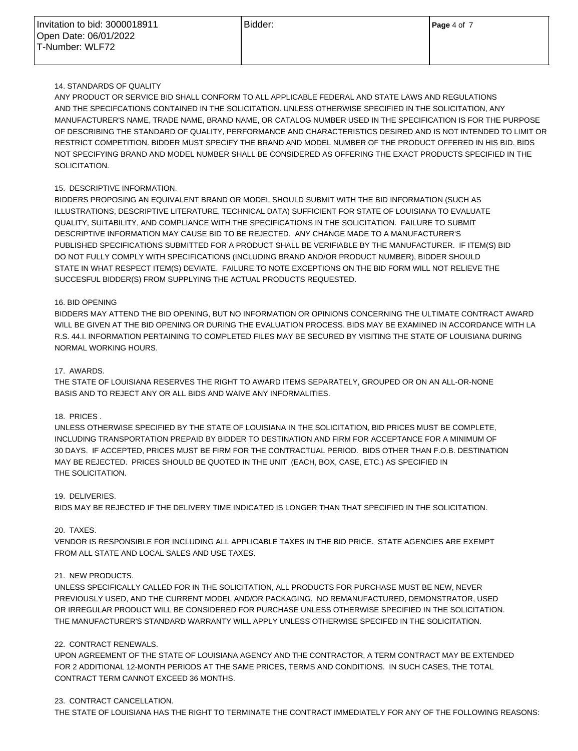# 14. STANDARDS OF QUALITY

ANY PRODUCT OR SERVICE BID SHALL CONFORM TO ALL APPLICABLE FEDERAL AND STATE LAWS AND REGULATIONS AND THE SPECIFCATIONS CONTAINED IN THE SOLICITATION. UNLESS OTHERWISE SPECIFIED IN THE SOLICITATION, ANY MANUFACTURER'S NAME, TRADE NAME, BRAND NAME, OR CATALOG NUMBER USED IN THE SPECIFICATION IS FOR THE PURPOSE OF DESCRIBING THE STANDARD OF QUALITY, PERFORMANCE AND CHARACTERISTICS DESIRED AND IS NOT INTENDED TO LIMIT OR RESTRICT COMPETITION. BIDDER MUST SPECIFY THE BRAND AND MODEL NUMBER OF THE PRODUCT OFFERED IN HIS BID. BIDS NOT SPECIFYING BRAND AND MODEL NUMBER SHALL BE CONSIDERED AS OFFERING THE EXACT PRODUCTS SPECIFIED IN THE SOLICITATION.

# 15. DESCRIPTIVE INFORMATION.

BIDDERS PROPOSING AN EQUIVALENT BRAND OR MODEL SHOULD SUBMIT WITH THE BID INFORMATION (SUCH AS ILLUSTRATIONS, DESCRIPTIVE LITERATURE, TECHNICAL DATA) SUFFICIENT FOR STATE OF LOUISIANA TO EVALUATE QUALITY, SUITABILITY, AND COMPLIANCE WITH THE SPECIFICATIONS IN THE SOLICITATION. FAILURE TO SUBMIT DESCRIPTIVE INFORMATION MAY CAUSE BID TO BE REJECTED. ANY CHANGE MADE TO A MANUFACTURER'S PUBLISHED SPECIFICATIONS SUBMITTED FOR A PRODUCT SHALL BE VERIFIABLE BY THE MANUFACTURER. IF ITEM(S) BID DO NOT FULLY COMPLY WITH SPECIFICATIONS (INCLUDING BRAND AND/OR PRODUCT NUMBER), BIDDER SHOULD STATE IN WHAT RESPECT ITEM(S) DEVIATE. FAILURE TO NOTE EXCEPTIONS ON THE BID FORM WILL NOT RELIEVE THE SUCCESFUL BIDDER(S) FROM SUPPLYING THE ACTUAL PRODUCTS REQUESTED.

# 16. BID OPENING

BIDDERS MAY ATTEND THE BID OPENING, BUT NO INFORMATION OR OPINIONS CONCERNING THE ULTIMATE CONTRACT AWARD WILL BE GIVEN AT THE BID OPENING OR DURING THE EVALUATION PROCESS. BIDS MAY BE EXAMINED IN ACCORDANCE WITH LA R.S. 44.I. INFORMATION PERTAINING TO COMPLETED FILES MAY BE SECURED BY VISITING THE STATE OF LOUISIANA DURING NORMAL WORKING HOURS.

# 17. AWARDS.

THE STATE OF LOUISIANA RESERVES THE RIGHT TO AWARD ITEMS SEPARATELY, GROUPED OR ON AN ALL-OR-NONE BASIS AND TO REJECT ANY OR ALL BIDS AND WAIVE ANY INFORMALITIES.

# 18. PRICES .

UNLESS OTHERWISE SPECIFIED BY THE STATE OF LOUISIANA IN THE SOLICITATION, BID PRICES MUST BE COMPLETE, INCLUDING TRANSPORTATION PREPAID BY BIDDER TO DESTINATION AND FIRM FOR ACCEPTANCE FOR A MINIMUM OF 30 DAYS. IF ACCEPTED, PRICES MUST BE FIRM FOR THE CONTRACTUAL PERIOD. BIDS OTHER THAN F.O.B. DESTINATION MAY BE REJECTED. PRICES SHOULD BE QUOTED IN THE UNIT (EACH, BOX, CASE, ETC.) AS SPECIFIED IN THE SOLICITATION.

#### 19. DELIVERIES.

BIDS MAY BE REJECTED IF THE DELIVERY TIME INDICATED IS LONGER THAN THAT SPECIFIED IN THE SOLICITATION.

#### 20. TAXES.

VENDOR IS RESPONSIBLE FOR INCLUDING ALL APPLICABLE TAXES IN THE BID PRICE. STATE AGENCIES ARE EXEMPT FROM ALL STATE AND LOCAL SALES AND USE TAXES.

# 21. NEW PRODUCTS.

UNLESS SPECIFICALLY CALLED FOR IN THE SOLICITATION, ALL PRODUCTS FOR PURCHASE MUST BE NEW, NEVER PREVIOUSLY USED, AND THE CURRENT MODEL AND/OR PACKAGING. NO REMANUFACTURED, DEMONSTRATOR, USED OR IRREGULAR PRODUCT WILL BE CONSIDERED FOR PURCHASE UNLESS OTHERWISE SPECIFIED IN THE SOLICITATION. THE MANUFACTURER'S STANDARD WARRANTY WILL APPLY UNLESS OTHERWISE SPECIFED IN THE SOLICITATION.

# 22. CONTRACT RENEWALS.

UPON AGREEMENT OF THE STATE OF LOUISIANA AGENCY AND THE CONTRACTOR, A TERM CONTRACT MAY BE EXTENDED FOR 2 ADDITIONAL 12-MONTH PERIODS AT THE SAME PRICES, TERMS AND CONDITIONS. IN SUCH CASES, THE TOTAL CONTRACT TERM CANNOT EXCEED 36 MONTHS.

# 23. CONTRACT CANCELLATION.

THE STATE OF LOUISIANA HAS THE RIGHT TO TERMINATE THE CONTRACT IMMEDIATELY FOR ANY OF THE FOLLOWING REASONS: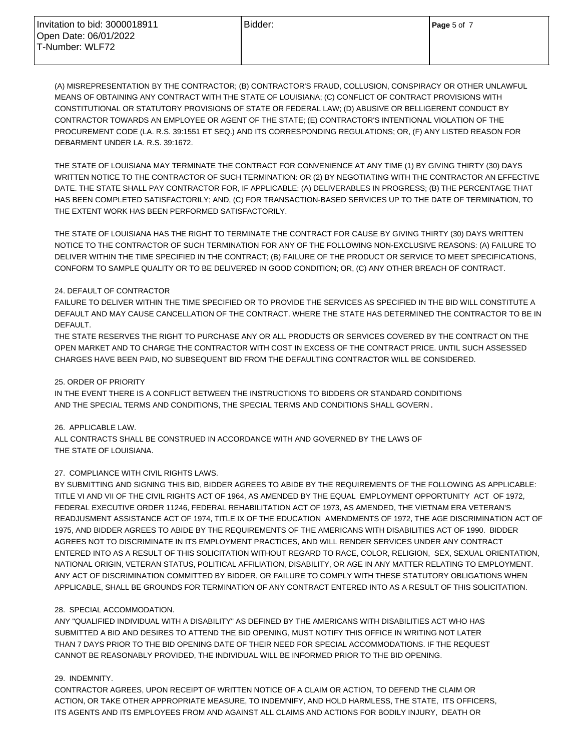| Invitation to bid: 3000018911 | Bidder: | <b>Page</b> 5 of 7 |
|-------------------------------|---------|--------------------|
| Open Date: 06/01/2022         |         |                    |
| T-Number: WLF72               |         |                    |
|                               |         |                    |

(A) MISREPRESENTATION BY THE CONTRACTOR; (B) CONTRACTOR'S FRAUD, COLLUSION, CONSPIRACY OR OTHER UNLAWFUL MEANS OF OBTAINING ANY CONTRACT WITH THE STATE OF LOUISIANA; (C) CONFLICT OF CONTRACT PROVISIONS WITH CONSTITUTIONAL OR STATUTORY PROVISIONS OF STATE OR FEDERAL LAW; (D) ABUSIVE OR BELLIGERENT CONDUCT BY CONTRACTOR TOWARDS AN EMPLOYEE OR AGENT OF THE STATE; (E) CONTRACTOR'S INTENTIONAL VIOLATION OF THE PROCUREMENT CODE (LA. R.S. 39:1551 ET SEQ.) AND ITS CORRESPONDING REGULATIONS; OR, (F) ANY LISTED REASON FOR DEBARMENT UNDER LA. R.S. 39:1672.

THE STATE OF LOUISIANA MAY TERMINATE THE CONTRACT FOR CONVENIENCE AT ANY TIME (1) BY GIVING THIRTY (30) DAYS WRITTEN NOTICE TO THE CONTRACTOR OF SUCH TERMINATION: OR (2) BY NEGOTIATING WITH THE CONTRACTOR AN EFFECTIVE DATE. THE STATE SHALL PAY CONTRACTOR FOR, IF APPLICABLE: (A) DELIVERABLES IN PROGRESS; (B) THE PERCENTAGE THAT HAS BEEN COMPLETED SATISFACTORILY; AND, (C) FOR TRANSACTION-BASED SERVICES UP TO THE DATE OF TERMINATION, TO THE EXTENT WORK HAS BEEN PERFORMED SATISFACTORILY.

THE STATE OF LOUISIANA HAS THE RIGHT TO TERMINATE THE CONTRACT FOR CAUSE BY GIVING THIRTY (30) DAYS WRITTEN NOTICE TO THE CONTRACTOR OF SUCH TERMINATION FOR ANY OF THE FOLLOWING NON-EXCLUSIVE REASONS: (A) FAILURE TO DELIVER WITHIN THE TIME SPECIFIED IN THE CONTRACT; (B) FAILURE OF THE PRODUCT OR SERVICE TO MEET SPECIFICATIONS, CONFORM TO SAMPLE QUALITY OR TO BE DELIVERED IN GOOD CONDITION; OR, (C) ANY OTHER BREACH OF CONTRACT.

### 24. DEFAULT OF CONTRACTOR

FAILURE TO DELIVER WITHIN THE TIME SPECIFIED OR TO PROVIDE THE SERVICES AS SPECIFIED IN THE BID WILL CONSTITUTE A DEFAULT AND MAY CAUSE CANCELLATION OF THE CONTRACT. WHERE THE STATE HAS DETERMINED THE CONTRACTOR TO BE IN DEFAULT.

THE STATE RESERVES THE RIGHT TO PURCHASE ANY OR ALL PRODUCTS OR SERVICES COVERED BY THE CONTRACT ON THE OPEN MARKET AND TO CHARGE THE CONTRACTOR WITH COST IN EXCESS OF THE CONTRACT PRICE. UNTIL SUCH ASSESSED CHARGES HAVE BEEN PAID, NO SUBSEQUENT BID FROM THE DEFAULTING CONTRACTOR WILL BE CONSIDERED.

# 25. ORDER OF PRIORITY

IN THE EVENT THERE IS A CONFLICT BETWEEN THE INSTRUCTIONS TO BIDDERS OR STANDARD CONDITIONS AND THE SPECIAL TERMS AND CONDITIONS, THE SPECIAL TERMS AND CONDITIONS SHALL GOVERN .

#### 26. APPLICABLE LAW.

ALL CONTRACTS SHALL BE CONSTRUED IN ACCORDANCE WITH AND GOVERNED BY THE LAWS OF THE STATE OF LOUISIANA.

# 27. COMPLIANCE WITH CIVIL RIGHTS LAWS.

BY SUBMITTING AND SIGNING THIS BID, BIDDER AGREES TO ABIDE BY THE REQUIREMENTS OF THE FOLLOWING AS APPLICABLE: TITLE VI AND VII OF THE CIVIL RIGHTS ACT OF 1964, AS AMENDED BY THE EQUAL EMPLOYMENT OPPORTUNITY ACT OF 1972, FEDERAL EXECUTIVE ORDER 11246, FEDERAL REHABILITATION ACT OF 1973, AS AMENDED, THE VIETNAM ERA VETERAN'S READJUSMENT ASSISTANCE ACT OF 1974, TITLE IX OF THE EDUCATION AMENDMENTS OF 1972, THE AGE DISCRIMINATION ACT OF 1975, AND BIDDER AGREES TO ABIDE BY THE REQUIREMENTS OF THE AMERICANS WITH DISABILITIES ACT OF 1990. BIDDER AGREES NOT TO DISCRIMINATE IN ITS EMPLOYMENT PRACTICES, AND WILL RENDER SERVICES UNDER ANY CONTRACT ENTERED INTO AS A RESULT OF THIS SOLICITATION WITHOUT REGARD TO RACE, COLOR, RELIGION, SEX, SEXUAL ORIENTATION, NATIONAL ORIGIN, VETERAN STATUS, POLITICAL AFFILIATION, DISABILITY, OR AGE IN ANY MATTER RELATING TO EMPLOYMENT. ANY ACT OF DISCRIMINATION COMMITTED BY BIDDER, OR FAILURE TO COMPLY WITH THESE STATUTORY OBLIGATIONS WHEN APPLICABLE, SHALL BE GROUNDS FOR TERMINATION OF ANY CONTRACT ENTERED INTO AS A RESULT OF THIS SOLICITATION.

#### 28. SPECIAL ACCOMMODATION.

ANY "QUALIFIED INDIVIDUAL WITH A DISABILITY" AS DEFINED BY THE AMERICANS WITH DISABILITIES ACT WHO HAS SUBMITTED A BID AND DESIRES TO ATTEND THE BID OPENING, MUST NOTIFY THIS OFFICE IN WRITING NOT LATER THAN 7 DAYS PRIOR TO THE BID OPENING DATE OF THEIR NEED FOR SPECIAL ACCOMMODATIONS. IF THE REQUEST CANNOT BE REASONABLY PROVIDED, THE INDIVIDUAL WILL BE INFORMED PRIOR TO THE BID OPENING.

#### 29. INDEMNITY.

CONTRACTOR AGREES, UPON RECEIPT OF WRITTEN NOTICE OF A CLAIM OR ACTION, TO DEFEND THE CLAIM OR ACTION, OR TAKE OTHER APPROPRIATE MEASURE, TO INDEMNIFY, AND HOLD HARMLESS, THE STATE, ITS OFFICERS, ITS AGENTS AND ITS EMPLOYEES FROM AND AGAINST ALL CLAIMS AND ACTIONS FOR BODILY INJURY, DEATH OR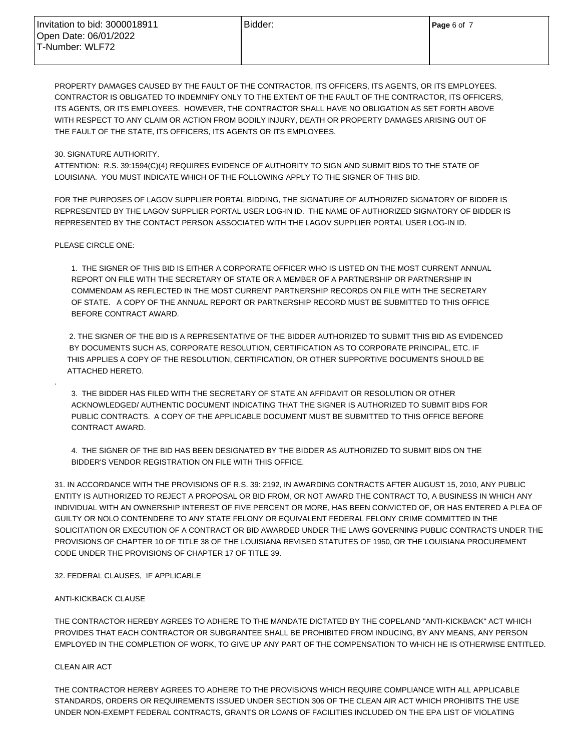| l Invitation to bid: 3000018911 | Bidder: | Page 6 of 7 |
|---------------------------------|---------|-------------|
| Open Date: 06/01/2022           |         |             |
| l T-Number: WLF72               |         |             |
|                                 |         |             |

PROPERTY DAMAGES CAUSED BY THE FAULT OF THE CONTRACTOR, ITS OFFICERS, ITS AGENTS, OR ITS EMPLOYEES. CONTRACTOR IS OBLIGATED TO INDEMNIFY ONLY TO THE EXTENT OF THE FAULT OF THE CONTRACTOR, ITS OFFICERS, ITS AGENTS, OR ITS EMPLOYEES. HOWEVER, THE CONTRACTOR SHALL HAVE NO OBLIGATION AS SET FORTH ABOVE WITH RESPECT TO ANY CLAIM OR ACTION FROM BODILY INJURY, DEATH OR PROPERTY DAMAGES ARISING OUT OF THE FAULT OF THE STATE, ITS OFFICERS, ITS AGENTS OR ITS EMPLOYEES.

#### 30. SIGNATURE AUTHORITY.

ATTENTION: R.S. 39:1594(C)(4) REQUIRES EVIDENCE OF AUTHORITY TO SIGN AND SUBMIT BIDS TO THE STATE OF LOUISIANA. YOU MUST INDICATE WHICH OF THE FOLLOWING APPLY TO THE SIGNER OF THIS BID.

FOR THE PURPOSES OF LAGOV SUPPLIER PORTAL BIDDING, THE SIGNATURE OF AUTHORIZED SIGNATORY OF BIDDER IS REPRESENTED BY THE LAGOV SUPPLIER PORTAL USER LOG-IN ID. THE NAME OF AUTHORIZED SIGNATORY OF BIDDER IS REPRESENTED BY THE CONTACT PERSON ASSOCIATED WITH THE LAGOV SUPPLIER PORTAL USER LOG-IN ID.

### PLEASE CIRCLE ONE:

.

 1. THE SIGNER OF THIS BID IS EITHER A CORPORATE OFFICER WHO IS LISTED ON THE MOST CURRENT ANNUAL REPORT ON FILE WITH THE SECRETARY OF STATE OR A MEMBER OF A PARTNERSHIP OR PARTNERSHIP IN COMMENDAM AS REFLECTED IN THE MOST CURRENT PARTNERSHIP RECORDS ON FILE WITH THE SECRETARY OF STATE. A COPY OF THE ANNUAL REPORT OR PARTNERSHIP RECORD MUST BE SUBMITTED TO THIS OFFICE BEFORE CONTRACT AWARD.

 2. THE SIGNER OF THE BID IS A REPRESENTATIVE OF THE BIDDER AUTHORIZED TO SUBMIT THIS BID AS EVIDENCED BY DOCUMENTS SUCH AS, CORPORATE RESOLUTION, CERTIFICATION AS TO CORPORATE PRINCIPAL, ETC. IF THIS APPLIES A COPY OF THE RESOLUTION, CERTIFICATION, OR OTHER SUPPORTIVE DOCUMENTS SHOULD BE ATTACHED HERETO.

 3. THE BIDDER HAS FILED WITH THE SECRETARY OF STATE AN AFFIDAVIT OR RESOLUTION OR OTHER ACKNOWLEDGED/ AUTHENTIC DOCUMENT INDICATING THAT THE SIGNER IS AUTHORIZED TO SUBMIT BIDS FOR PUBLIC CONTRACTS. A COPY OF THE APPLICABLE DOCUMENT MUST BE SUBMITTED TO THIS OFFICE BEFORE CONTRACT AWARD.

 4. THE SIGNER OF THE BID HAS BEEN DESIGNATED BY THE BIDDER AS AUTHORIZED TO SUBMIT BIDS ON THE BIDDER'S VENDOR REGISTRATION ON FILE WITH THIS OFFICE.

31. IN ACCORDANCE WITH THE PROVISIONS OF R.S. 39: 2192, IN AWARDING CONTRACTS AFTER AUGUST 15, 2010, ANY PUBLIC ENTITY IS AUTHORIZED TO REJECT A PROPOSAL OR BID FROM, OR NOT AWARD THE CONTRACT TO, A BUSINESS IN WHICH ANY INDIVIDUAL WITH AN OWNERSHIP INTEREST OF FIVE PERCENT OR MORE, HAS BEEN CONVICTED OF, OR HAS ENTERED A PLEA OF GUILTY OR NOLO CONTENDERE TO ANY STATE FELONY OR EQUIVALENT FEDERAL FELONY CRIME COMMITTED IN THE SOLICITATION OR EXECUTION OF A CONTRACT OR BID AWARDED UNDER THE LAWS GOVERNING PUBLIC CONTRACTS UNDER THE PROVISIONS OF CHAPTER 10 OF TITLE 38 OF THE LOUISIANA REVISED STATUTES OF 1950, OR THE LOUISIANA PROCUREMENT CODE UNDER THE PROVISIONS OF CHAPTER 17 OF TITLE 39.

#### 32. FEDERAL CLAUSES, IF APPLICABLE

#### ANTI-KICKBACK CLAUSE

THE CONTRACTOR HEREBY AGREES TO ADHERE TO THE MANDATE DICTATED BY THE COPELAND "ANTI-KICKBACK" ACT WHICH PROVIDES THAT EACH CONTRACTOR OR SUBGRANTEE SHALL BE PROHIBITED FROM INDUCING, BY ANY MEANS, ANY PERSON EMPLOYED IN THE COMPLETION OF WORK, TO GIVE UP ANY PART OF THE COMPENSATION TO WHICH HE IS OTHERWISE ENTITLED.

#### CLEAN AIR ACT

THE CONTRACTOR HEREBY AGREES TO ADHERE TO THE PROVISIONS WHICH REQUIRE COMPLIANCE WITH ALL APPLICABLE STANDARDS, ORDERS OR REQUIREMENTS ISSUED UNDER SECTION 306 OF THE CLEAN AIR ACT WHICH PROHIBITS THE USE UNDER NON-EXEMPT FEDERAL CONTRACTS, GRANTS OR LOANS OF FACILITIES INCLUDED ON THE EPA LIST OF VIOLATING